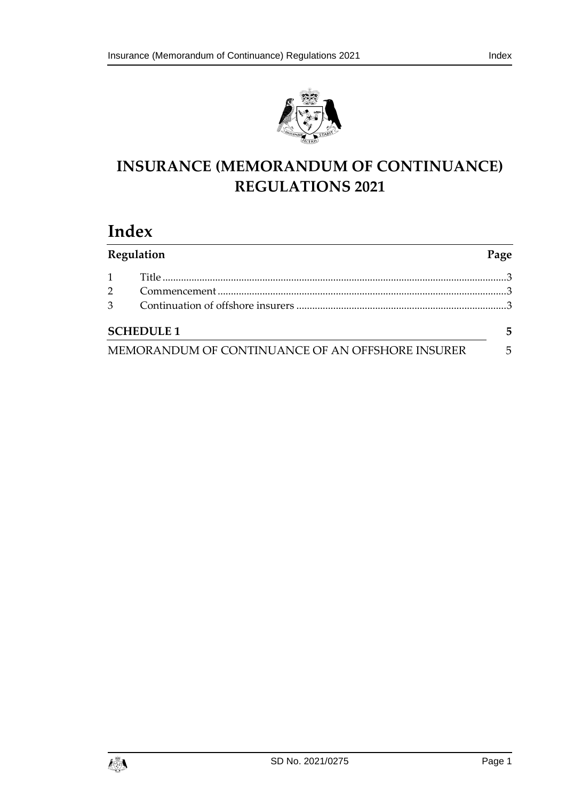



# **INSURANCE (MEMORANDUM OF CONTINUANCE) REGULATIONS 2021**

# **Index**

| Regulation     |                                                  | Page |
|----------------|--------------------------------------------------|------|
| $\mathbf{1}$   |                                                  |      |
| $\mathcal{P}$  |                                                  |      |
| 3 <sup>1</sup> |                                                  |      |
|                | <b>SCHEDULE 1</b>                                | 5    |
|                | MEMORANDUM OF CONTINUANCE OF AN OFFSHORE INSURER | 5    |

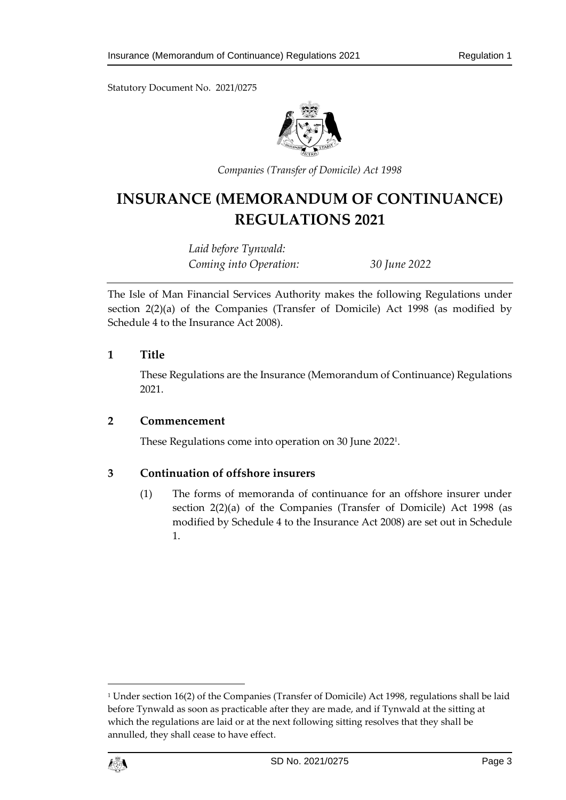Statutory Document No. 2021/0275



*Companies (Transfer of Domicile) Act 1998*

# **INSURANCE (MEMORANDUM OF CONTINUANCE) REGULATIONS 2021**

*Laid before Tynwald: Coming into Operation: 30 June 2022*

The Isle of Man Financial Services Authority makes the following Regulations under section 2(2)(a) of the Companies (Transfer of Domicile) Act 1998 (as modified by Schedule 4 to the Insurance Act 2008).

### <span id="page-2-0"></span>**1 Title**

These Regulations are the Insurance (Memorandum of Continuance) Regulations 2021.

### <span id="page-2-1"></span>**2 Commencement**

These Regulations come into operation on 30 June 2022<sup>1</sup> .

## <span id="page-2-2"></span>**3 Continuation of offshore insurers**

(1) The forms of memoranda of continuance for an offshore insurer under section 2(2)(a) of the Companies (Transfer of Domicile) Act 1998 (as modified by Schedule 4 to the Insurance Act 2008) are set out in Schedule 1.

<sup>&</sup>lt;sup>1</sup> Under section 16(2) of the Companies (Transfer of Domicile) Act 1998, regulations shall be laid before Tynwald as soon as practicable after they are made, and if Tynwald at the sitting at which the regulations are laid or at the next following sitting resolves that they shall be annulled, they shall cease to have effect.



1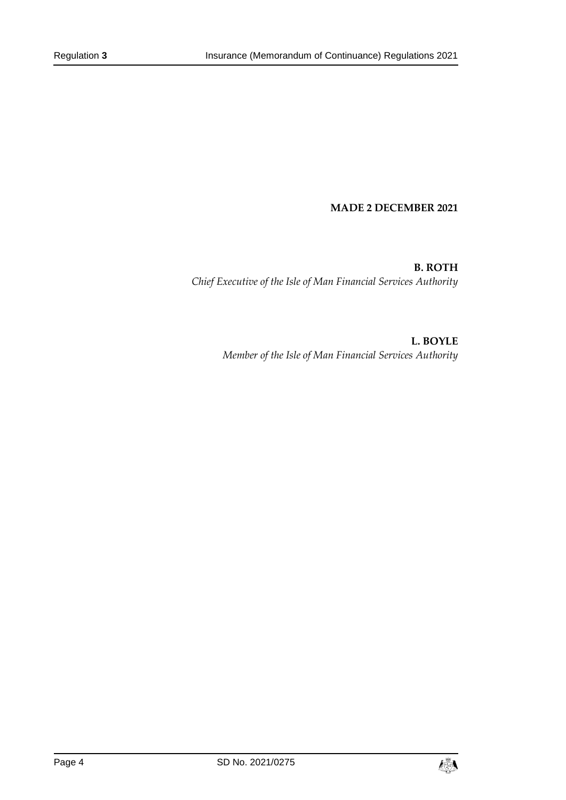#### **MADE 2 DECEMBER 2021**

**B. ROTH** *Chief Executive of the Isle of Man Financial Services Authority*

> **L. BOYLE** *Member of the Isle of Man Financial Services Authority*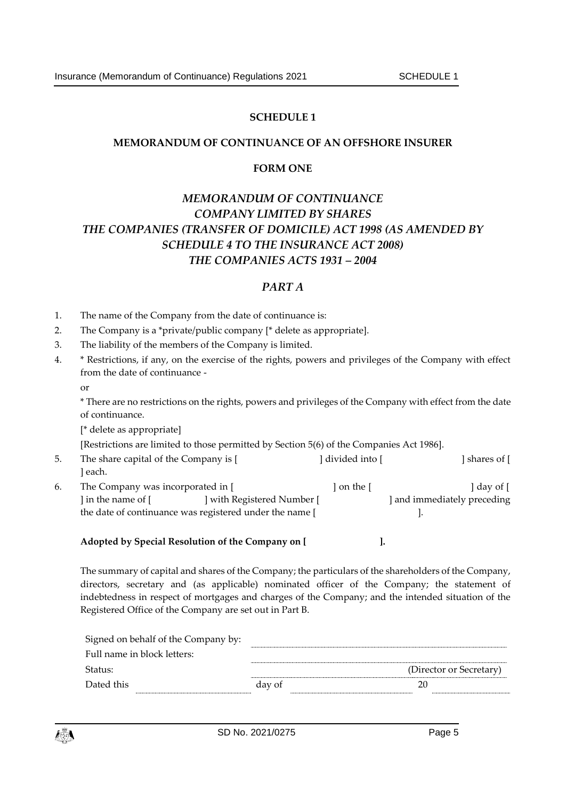### **SCHEDULE 1**

### <span id="page-4-1"></span><span id="page-4-0"></span>**MEMORANDUM OF CONTINUANCE OF AN OFFSHORE INSURER**

### **FORM ONE**

# *MEMORANDUM OF CONTINUANCE COMPANY LIMITED BY SHARES THE COMPANIES (TRANSFER OF DOMICILE) ACT 1998 (AS AMENDED BY SCHEDULE 4 TO THE INSURANCE ACT 2008) THE COMPANIES ACTS 1931 – 2004*

### *PART A*

- 1. The name of the Company from the date of continuance is:
- 2. The Company is a \*private/public company [\* delete as appropriate].
- 3. The liability of the members of the Company is limited.
- 4. \* Restrictions, if any, on the exercise of the rights, powers and privileges of the Company with effect from the date of continuance
	- or

\* There are no restrictions on the rights, powers and privileges of the Company with effect from the date of continuance.

[\* delete as appropriate]

[Restrictions are limited to those permitted by Section 5(6) of the Companies Act 1986].

the date of continuance was registered under the name [  $\qquad \qquad$  ].

5. The share capital of the Company is [ ] divided into [ ] shares of [ ] each. 6. The Company was incorporated in [ ] on the [ ] day of [ | in the name of [ ] with Registered Number [ ] and immediately preceding

**Adopted by Special Resolution of the Company on [ ].**

The summary of capital and shares of the Company; the particulars of the shareholders of the Company, directors, secretary and (as applicable) nominated officer of the Company; the statement of indebtedness in respect of mortgages and charges of the Company; and the intended situation of the Registered Office of the Company are set out in Part B.

| Signed on behalf of the Company by: |        |                         |  |
|-------------------------------------|--------|-------------------------|--|
| Full name in block letters:         |        |                         |  |
| Status:                             |        | (Director or Secretary) |  |
| Dated this                          | day of |                         |  |
|                                     |        |                         |  |

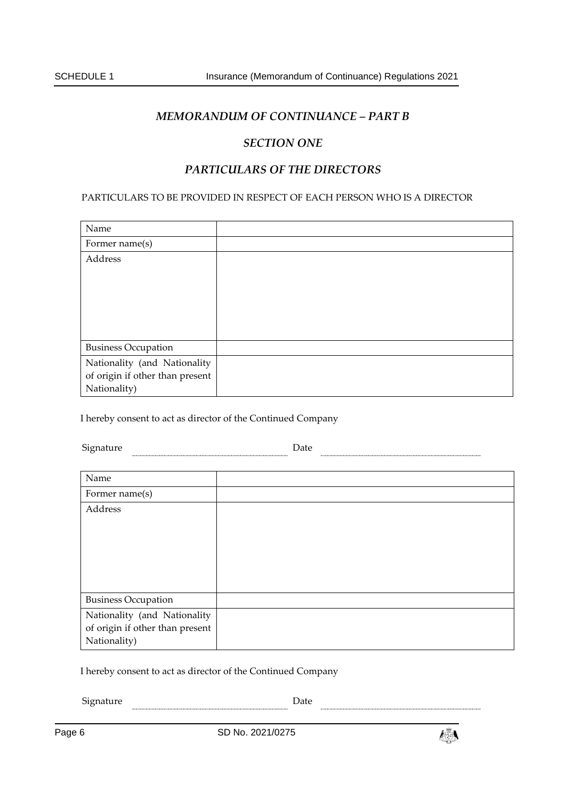# *MEMORANDUM OF CONTINUANCE – PART B*

### *SECTION ONE*

## *PARTICULARS OF THE DIRECTORS*

#### PARTICULARS TO BE PROVIDED IN RESPECT OF EACH PERSON WHO IS A DIRECTOR

| Name                                                                            |  |
|---------------------------------------------------------------------------------|--|
| Former name(s)                                                                  |  |
| Address                                                                         |  |
| <b>Business Occupation</b>                                                      |  |
| Nationality (and Nationality<br>of origin if other than present<br>Nationality) |  |

I hereby consent to act as director of the Continued Company

Signature **Date** Date **Date Date Date Date Date Date Date D** 

| Name                            |  |
|---------------------------------|--|
| Former name(s)                  |  |
| Address                         |  |
|                                 |  |
|                                 |  |
|                                 |  |
|                                 |  |
|                                 |  |
| <b>Business Occupation</b>      |  |
| Nationality (and Nationality    |  |
| of origin if other than present |  |
| Nationality)                    |  |

I hereby consent to act as director of the Continued Company

 ${\small \textbf{Square} \hspace{2em} \textbf{Date} }$ 

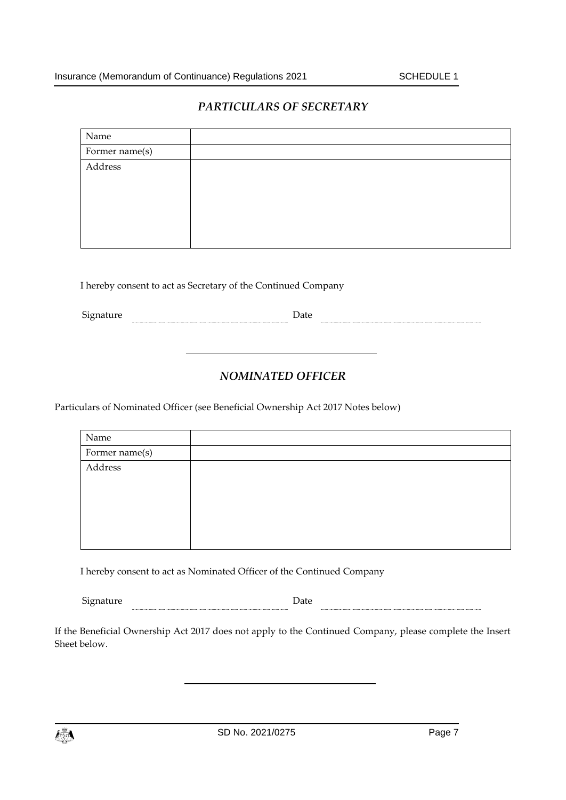## *PARTICULARS OF SECRETARY*

| Name           |  |
|----------------|--|
| Former name(s) |  |
| Address        |  |
|                |  |
|                |  |
|                |  |
|                |  |
|                |  |

I hereby consent to act as Secretary of the Continued Company

Signature **Date** Date **Date Date Date Date Date Date Date Date Date Date Date Date Date Date Date Date Date D** 

# *NOMINATED OFFICER*

Particulars of Nominated Officer (see Beneficial Ownership Act 2017 Notes below)

| Name           |  |
|----------------|--|
| Former name(s) |  |
| Address        |  |
|                |  |
|                |  |
|                |  |
|                |  |
|                |  |

I hereby consent to act as Nominated Officer of the Continued Company

| $\sim$<br>ى 1<br>-- | - - - |  |
|---------------------|-------|--|
|                     |       |  |

If the Beneficial Ownership Act 2017 does not apply to the Continued Company, please complete the Insert Sheet below.

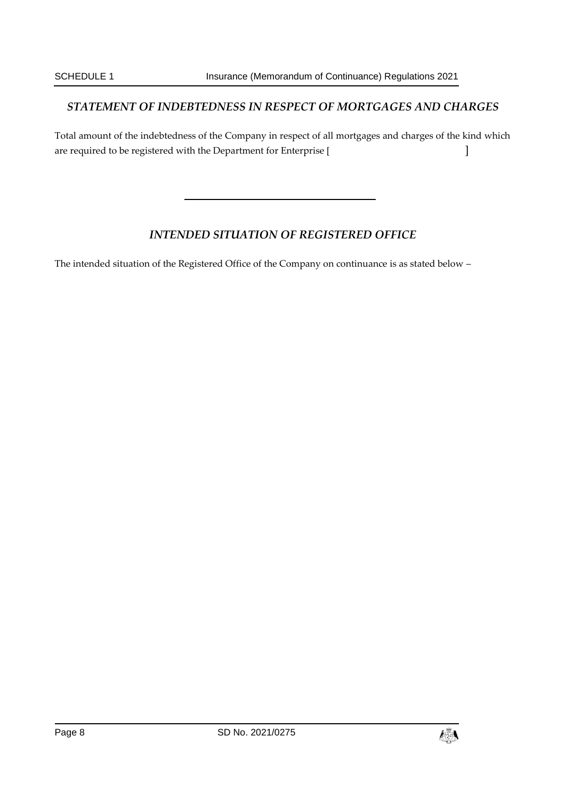# *STATEMENT OF INDEBTEDNESS IN RESPECT OF MORTGAGES AND CHARGES*

Total amount of the indebtedness of the Company in respect of all mortgages and charges of the kind which are required to be registered with the Department for Enterprise [  $\qquad \qquad$  ]

# *INTENDED SITUATION OF REGISTERED OFFICE*

The intended situation of the Registered Office of the Company on continuance is as stated below –

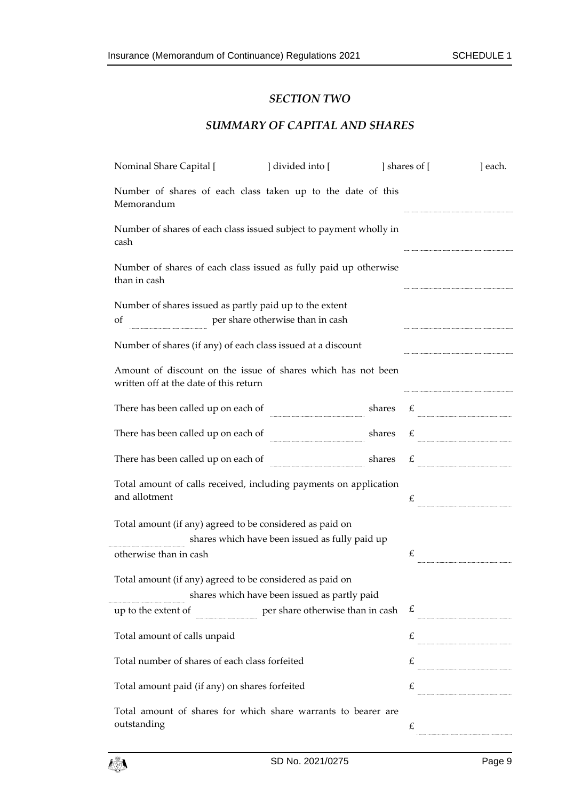### *SECTION TWO*

# *SUMMARY OF CAPITAL AND SHARES*

| Nominal Share Capital [                                                                                  | ] divided into [                                                                                       |        | shares of [ | ] each.                                                                                                                                                                                                                                                                                                                                                                                                                                |  |  |  |
|----------------------------------------------------------------------------------------------------------|--------------------------------------------------------------------------------------------------------|--------|-------------|----------------------------------------------------------------------------------------------------------------------------------------------------------------------------------------------------------------------------------------------------------------------------------------------------------------------------------------------------------------------------------------------------------------------------------------|--|--|--|
| Number of shares of each class taken up to the date of this<br>Memorandum                                |                                                                                                        |        |             |                                                                                                                                                                                                                                                                                                                                                                                                                                        |  |  |  |
| cash                                                                                                     | Number of shares of each class issued subject to payment wholly in                                     |        |             |                                                                                                                                                                                                                                                                                                                                                                                                                                        |  |  |  |
| Number of shares of each class issued as fully paid up otherwise<br>than in cash                         |                                                                                                        |        |             |                                                                                                                                                                                                                                                                                                                                                                                                                                        |  |  |  |
| Number of shares issued as partly paid up to the extent<br>per share otherwise than in cash<br>of        |                                                                                                        |        |             |                                                                                                                                                                                                                                                                                                                                                                                                                                        |  |  |  |
| Number of shares (if any) of each class issued at a discount                                             |                                                                                                        |        |             |                                                                                                                                                                                                                                                                                                                                                                                                                                        |  |  |  |
|                                                                                                          | Amount of discount on the issue of shares which has not been<br>written off at the date of this return |        |             |                                                                                                                                                                                                                                                                                                                                                                                                                                        |  |  |  |
| There has been called up on each of                                                                      |                                                                                                        | shares |             | $\mathcal{L}$                                                                                                                                                                                                                                                                                                                                                                                                                          |  |  |  |
| There has been called up on each of                                                                      |                                                                                                        |        |             | shares $\epsilon$                                                                                                                                                                                                                                                                                                                                                                                                                      |  |  |  |
| There has been called up on each of                                                                      |                                                                                                        | shares | £           | $\begin{minipage}{0.5\textwidth} \begin{tabular}{ c c c } \hline & \multicolumn{2}{ c }{\textbf{0.5}} & \multicolumn{2}{ c }{\textbf{0.5}} \\ \hline \multicolumn{2}{ c }{\textbf{0.5}} & \multicolumn{2}{ c }{\textbf{0.5}} & \multicolumn{2}{ c }{\textbf{0.5}} \\ \hline \multicolumn{2}{ c }{\textbf{0.5}} & \multicolumn{2}{ c }{\textbf{0.5}} & \multicolumn{2}{ c }{\textbf{0.5}} \\ \hline \multicolumn{2}{ c }{\textbf{0.5}}$ |  |  |  |
| Total amount of calls received, including payments on application<br>and allotment                       |                                                                                                        |        | £           |                                                                                                                                                                                                                                                                                                                                                                                                                                        |  |  |  |
| Total amount (if any) agreed to be considered as paid on                                                 | shares which have been issued as fully paid up                                                         |        |             |                                                                                                                                                                                                                                                                                                                                                                                                                                        |  |  |  |
| otherwise than in cash                                                                                   |                                                                                                        |        | £           |                                                                                                                                                                                                                                                                                                                                                                                                                                        |  |  |  |
| Total amount (if any) agreed to be considered as paid on<br>shares which have been issued as partly paid |                                                                                                        |        |             |                                                                                                                                                                                                                                                                                                                                                                                                                                        |  |  |  |
| up to the extent of                                                                                      | per share otherwise than in cash                                                                       |        | £           |                                                                                                                                                                                                                                                                                                                                                                                                                                        |  |  |  |
| Total amount of calls unpaid                                                                             |                                                                                                        |        | £           |                                                                                                                                                                                                                                                                                                                                                                                                                                        |  |  |  |
| Total number of shares of each class forfeited                                                           |                                                                                                        |        |             | $\begin{picture}(20,10)(-20,10)(-20,10)(-20,10)(-20,10)(-20,10)(-20,10)(-20,10)(-20,10)(-20,10)(-20,10)(-20,10)(-20,10)(-20,10)(-20,10)(-20,10)(-20,10)(-20,10)(-20,10)(-20,10)(-20,10)(-20,10)(-20,10)(-20,10)(-20,10)(-20,10)(-20,10)(-20,10)(-20,10)(-20,10)(-20,10$                                                                                                                                                                |  |  |  |
| Total amount paid (if any) on shares forfeited                                                           |                                                                                                        |        | £           |                                                                                                                                                                                                                                                                                                                                                                                                                                        |  |  |  |
| Total amount of shares for which share warrants to bearer are<br>outstanding                             |                                                                                                        |        | £           |                                                                                                                                                                                                                                                                                                                                                                                                                                        |  |  |  |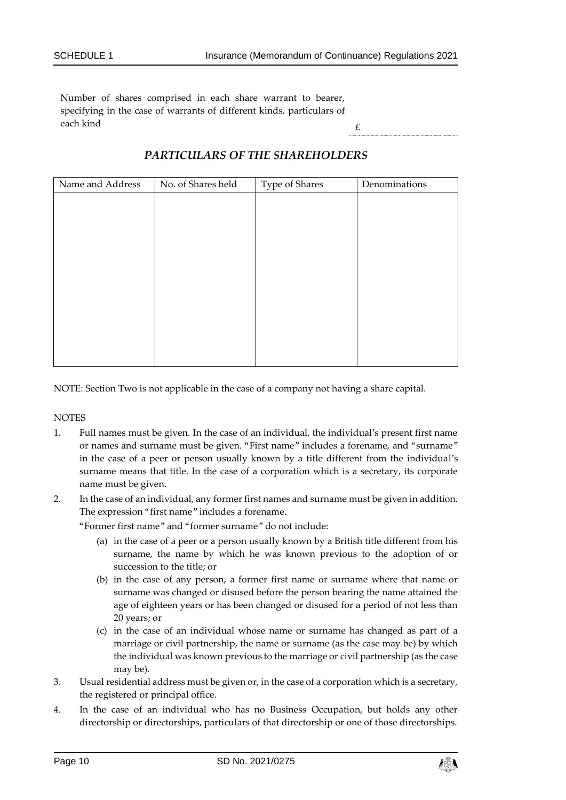Number of shares comprised in each share warrant to bearer, specifying in the case of warrants of different kinds, particulars of each kind  $\epsilon$ 

| Name and Address | No. of Shares held | Type of Shares | Denominations |
|------------------|--------------------|----------------|---------------|
|                  |                    |                |               |
|                  |                    |                |               |
|                  |                    |                |               |
|                  |                    |                |               |
|                  |                    |                |               |
|                  |                    |                |               |
|                  |                    |                |               |
|                  |                    |                |               |
|                  |                    |                |               |
|                  |                    |                |               |
|                  |                    |                |               |

# *PARTICULARS OF THE SHAREHOLDERS*

NOTE: Section Two is not applicable in the case of a company not having a share capital.

**NOTES** 

- 1. Full names must be given. In the case of an individual, the individual's present first name or names and surname must be given. "First name" includes a forename, and "surname" in the case of a peer or person usually known by a title different from the individual's surname means that title. In the case of a corporation which is a secretary, its corporate name must be given.
- 2. In the case of an individual, any former first names and surname must be given in addition. The expression "first name" includes a forename.

"Former first name" and "former surname" do not include:

- (a) in the case of a peer or a person usually known by a British title different from his surname, the name by which he was known previous to the adoption of or succession to the title; or
- (b) in the case of any person, a former first name or surname where that name or surname was changed or disused before the person bearing the name attained the age of eighteen years or has been changed or disused for a period of not less than 20 years; or
- (c) in the case of an individual whose name or surname has changed as part of a marriage or civil partnership, the name or surname (as the case may be) by which the individual was known previous to the marriage or civil partnership (as the case may be).
- 3. Usual residential address must be given or, in the case of a corporation which is a secretary, the registered or principal office.
- 4. In the case of an individual who has no Business Occupation, but holds any other directorship or directorships, particulars of that directorship or one of those directorships.

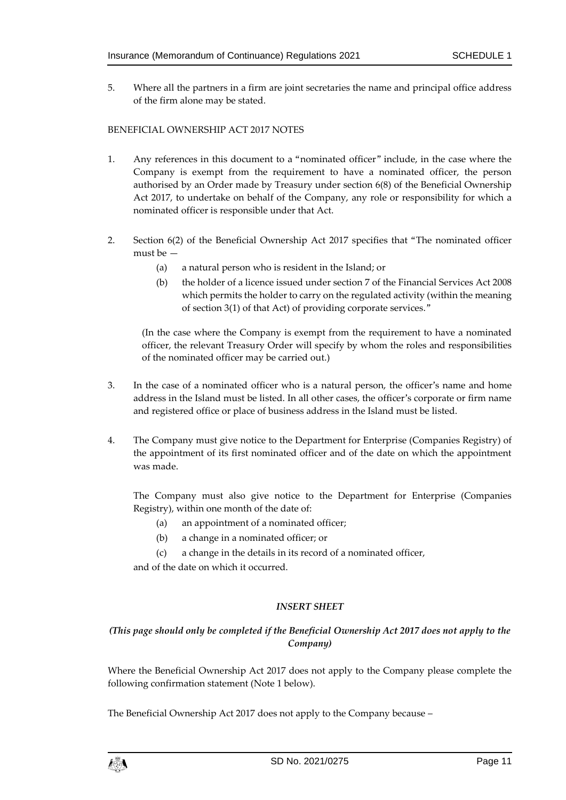5. Where all the partners in a firm are joint secretaries the name and principal office address of the firm alone may be stated.

#### BENEFICIAL OWNERSHIP ACT 2017 NOTES

- 1. Any references in this document to a "nominated officer" include, in the case where the Company is exempt from the requirement to have a nominated officer, the person authorised by an Order made by Treasury under section 6(8) of the Beneficial Ownership Act 2017, to undertake on behalf of the Company, any role or responsibility for which a nominated officer is responsible under that Act.
- 2. Section 6(2) of the Beneficial Ownership Act 2017 specifies that "The nominated officer must be —
	- (a) a natural person who is resident in the Island; or
	- (b) the holder of a licence issued under section 7 of the Financial Services Act 2008 which permits the holder to carry on the regulated activity (within the meaning of section 3(1) of that Act) of providing corporate services."

(In the case where the Company is exempt from the requirement to have a nominated officer, the relevant Treasury Order will specify by whom the roles and responsibilities of the nominated officer may be carried out.)

- 3. In the case of a nominated officer who is a natural person, the officer's name and home address in the Island must be listed. In all other cases, the officer's corporate or firm name and registered office or place of business address in the Island must be listed.
- 4. The Company must give notice to the Department for Enterprise (Companies Registry) of the appointment of its first nominated officer and of the date on which the appointment was made.

The Company must also give notice to the Department for Enterprise (Companies Registry), within one month of the date of:

- (a) an appointment of a nominated officer;
- (b) a change in a nominated officer; or
- (c) a change in the details in its record of a nominated officer,

and of the date on which it occurred.

### *INSERT SHEET*

### *(This page should only be completed if the Beneficial Ownership Act 2017 does not apply to the Company)*

Where the Beneficial Ownership Act 2017 does not apply to the Company please complete the following confirmation statement (Note 1 below).

The Beneficial Ownership Act 2017 does not apply to the Company because –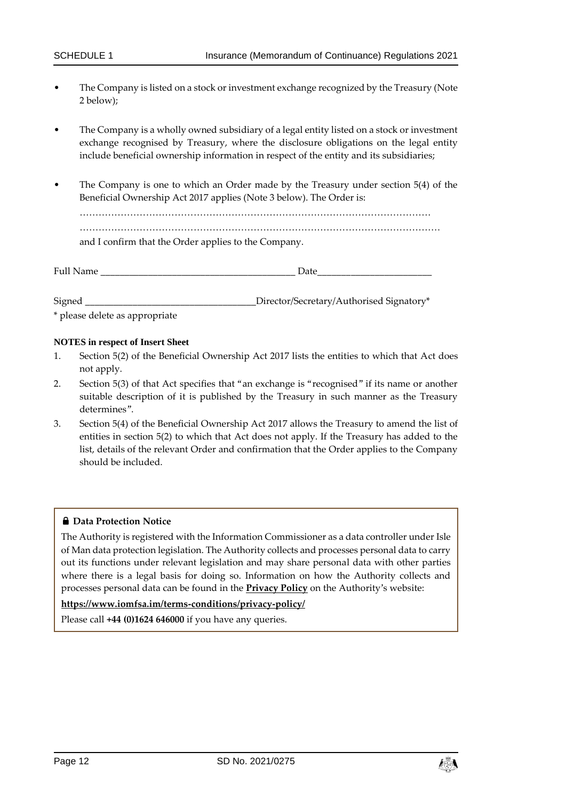- The Company is listed on a stock or investment exchange recognized by the Treasury (Note 2 below);
- The Company is a wholly owned subsidiary of a legal entity listed on a stock or investment exchange recognised by Treasury, where the disclosure obligations on the legal entity include beneficial ownership information in respect of the entity and its subsidiaries;
- The Company is one to which an Order made by the Treasury under section 5(4) of the Beneficial Ownership Act 2017 applies (Note 3 below). The Order is:

………………………………………………………………………………………………… ……………………………………………………………………………………………………

and I confirm that the Order applies to the Company.

Signed **Example 2** Director/Secretary/Authorised Signatory\*

\* please delete as appropriate

#### **NOTES in respect of Insert Sheet**

- 1. Section 5(2) of the Beneficial Ownership Act 2017 lists the entities to which that Act does not apply.
- 2. Section 5(3) of that Act specifies that "an exchange is "recognised" if its name or another suitable description of it is published by the Treasury in such manner as the Treasury determines".
- 3. Section 5(4) of the Beneficial Ownership Act 2017 allows the Treasury to amend the list of entities in section 5(2) to which that Act does not apply. If the Treasury has added to the list, details of the relevant Order and confirmation that the Order applies to the Company should be included.

#### **Data Protection Notice**

The Authority is registered with the Information Commissioner as a data controller under Isle of Man data protection legislation. The Authority collects and processes personal data to carry out its functions under relevant legislation and may share personal data with other parties where there is a legal basis for doing so. Information on how the Authority collects and processes personal data can be found in the **[Privacy Policy](https://www.iomfsa.im/terms-conditions/privacy-policy/)** on the Authority's website:

### **<https://www.iomfsa.im/terms-conditions/privacy-policy/>**

Please call **+44 (0)1624 646000** if you have any queries.

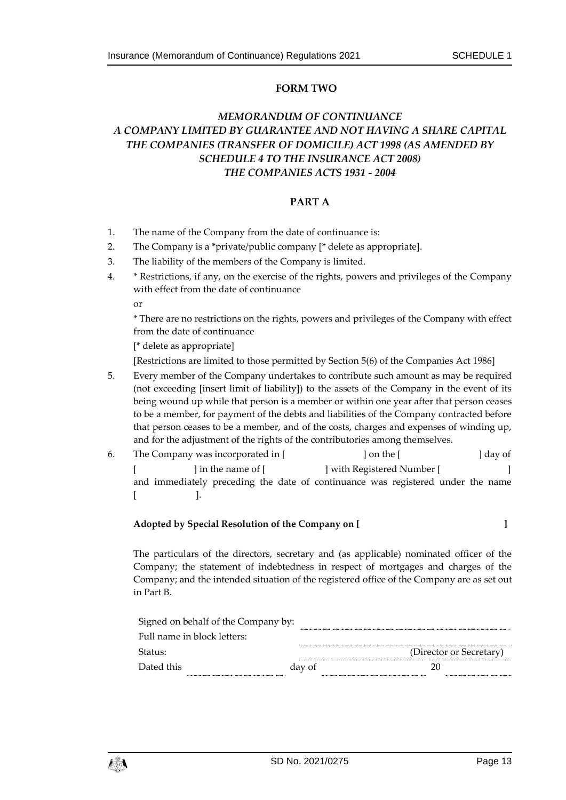### **FORM TWO**

# *MEMORANDUM OF CONTINUANCE A COMPANY LIMITED BY GUARANTEE AND NOT HAVING A SHARE CAPITAL THE COMPANIES (TRANSFER OF DOMICILE) ACT 1998 (AS AMENDED BY SCHEDULE 4 TO THE INSURANCE ACT 2008) THE COMPANIES ACTS 1931 - 2004*

#### **PART A**

- 1. The name of the Company from the date of continuance is:
- 2. The Company is a \*private/public company [\* delete as appropriate].
- 3. The liability of the members of the Company is limited.
- 4. \* Restrictions, if any, on the exercise of the rights, powers and privileges of the Company with effect from the date of continuance

or

\* There are no restrictions on the rights, powers and privileges of the Company with effect from the date of continuance

[\* delete as appropriate]

[Restrictions are limited to those permitted by Section 5(6) of the Companies Act 1986]

- 5. Every member of the Company undertakes to contribute such amount as may be required (not exceeding [insert limit of liability]) to the assets of the Company in the event of its being wound up while that person is a member or within one year after that person ceases to be a member, for payment of the debts and liabilities of the Company contracted before that person ceases to be a member, and of the costs, charges and expenses of winding up, and for the adjustment of the rights of the contributories among themselves.
- 6. The Company was incorporated in [ ] on the [ ] day of [ ] in the name of [ ] with Registered Number [ ] and immediately preceding the date of continuance was registered under the name [ ].

| Adopted by Special Resolution of the Company on [ |  |
|---------------------------------------------------|--|

The particulars of the directors, secretary and (as applicable) nominated officer of the Company; the statement of indebtedness in respect of mortgages and charges of the Company; and the intended situation of the registered office of the Company are as set out in Part B.

|            | Signed on behalf of the Company by: |        |                         |
|------------|-------------------------------------|--------|-------------------------|
|            | Full name in block letters:         |        |                         |
| -Status:   |                                     |        | (Director or Secretary) |
| Dated this |                                     | day of |                         |
|            |                                     |        |                         |

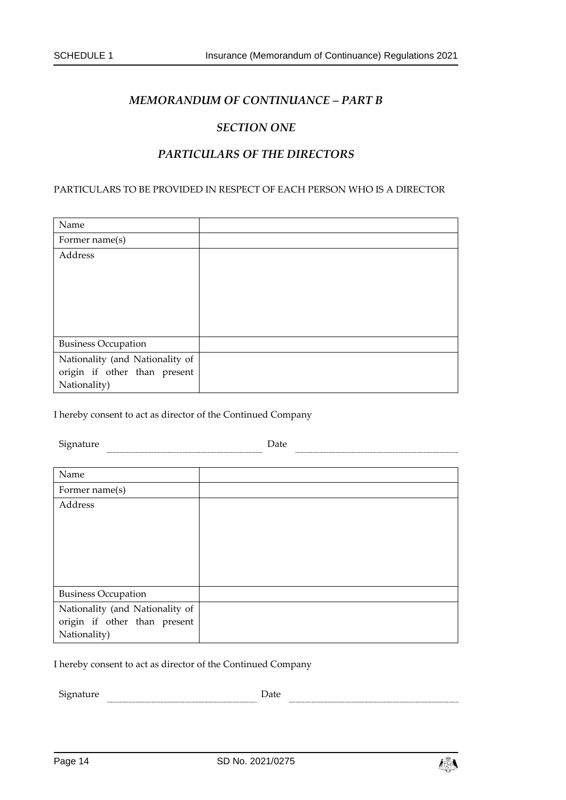### *MEMORANDUM OF CONTINUANCE – PART B*

### *SECTION ONE*

### *PARTICULARS OF THE DIRECTORS*

#### PARTICULARS TO BE PROVIDED IN RESPECT OF EACH PERSON WHO IS A DIRECTOR

| Name                            |  |
|---------------------------------|--|
| Former name(s)                  |  |
| Address                         |  |
|                                 |  |
|                                 |  |
|                                 |  |
|                                 |  |
|                                 |  |
| <b>Business Occupation</b>      |  |
| Nationality (and Nationality of |  |
| origin if other than present    |  |
| Nationality)                    |  |

I hereby consent to act as director of the Continued Company

Signature Date

| Name                            |  |
|---------------------------------|--|
| Former name(s)                  |  |
| Address                         |  |
|                                 |  |
|                                 |  |
|                                 |  |
|                                 |  |
|                                 |  |
| <b>Business Occupation</b>      |  |
| Nationality (and Nationality of |  |
| origin if other than present    |  |
| Nationality)                    |  |

I hereby consent to act as director of the Continued Company

Signature **Date** 

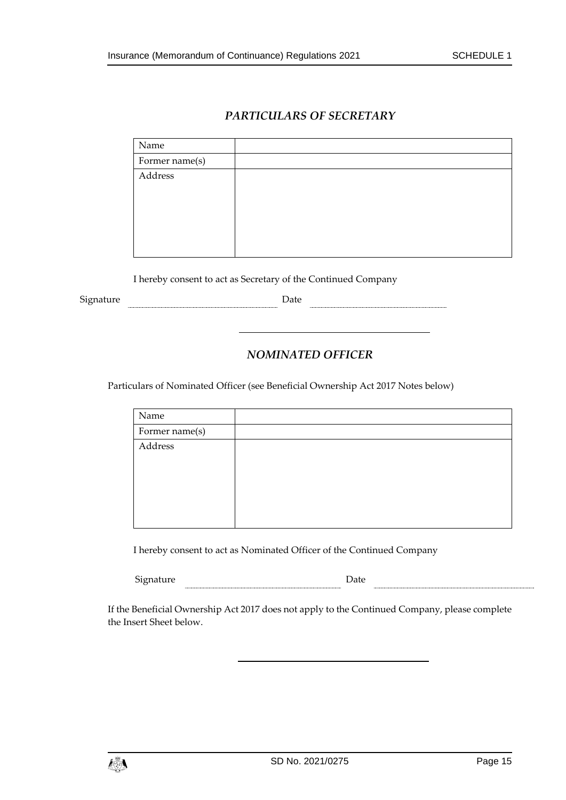# *PARTICULARS OF SECRETARY*

| Name           |  |
|----------------|--|
| Former name(s) |  |
| Address        |  |

I hereby consent to act as Secretary of the Continued Company

 ${\small \textbf{Square} \hspace{2.2cm} \textbf{Date} }$ 

# *NOMINATED OFFICER*

Particulars of Nominated Officer (see Beneficial Ownership Act 2017 Notes below)

| Name           |  |
|----------------|--|
| Former name(s) |  |
| Address        |  |

I hereby consent to act as Nominated Officer of the Continued Company

Signature **Example 2** Date **Date Date Date Date Date Date Date Date Date Date Date Date Date D** 

If the Beneficial Ownership Act 2017 does not apply to the Continued Company, please complete the Insert Sheet below.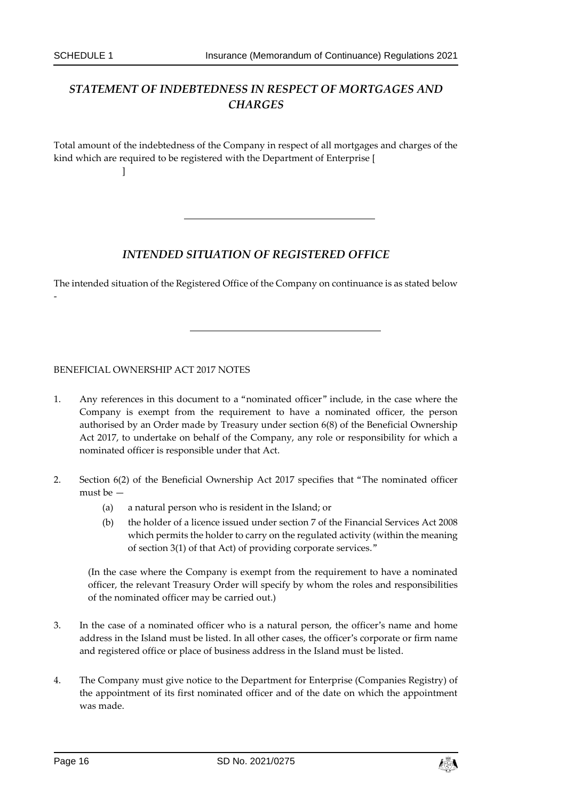# *STATEMENT OF INDEBTEDNESS IN RESPECT OF MORTGAGES AND CHARGES*

Total amount of the indebtedness of the Company in respect of all mortgages and charges of the kind which are required to be registered with the Department of Enterprise [ ]

### *INTENDED SITUATION OF REGISTERED OFFICE*

The intended situation of the Registered Office of the Company on continuance is as stated below -

BENEFICIAL OWNERSHIP ACT 2017 NOTES

- 1. Any references in this document to a "nominated officer" include, in the case where the Company is exempt from the requirement to have a nominated officer, the person authorised by an Order made by Treasury under section 6(8) of the Beneficial Ownership Act 2017, to undertake on behalf of the Company, any role or responsibility for which a nominated officer is responsible under that Act.
- 2. Section 6(2) of the Beneficial Ownership Act 2017 specifies that "The nominated officer must be —
	- (a) a natural person who is resident in the Island; or
	- (b) the holder of a licence issued under section 7 of the Financial Services Act 2008 which permits the holder to carry on the regulated activity (within the meaning of section 3(1) of that Act) of providing corporate services."

(In the case where the Company is exempt from the requirement to have a nominated officer, the relevant Treasury Order will specify by whom the roles and responsibilities of the nominated officer may be carried out.)

- 3. In the case of a nominated officer who is a natural person, the officer's name and home address in the Island must be listed. In all other cases, the officer's corporate or firm name and registered office or place of business address in the Island must be listed.
- 4. The Company must give notice to the Department for Enterprise (Companies Registry) of the appointment of its first nominated officer and of the date on which the appointment was made.

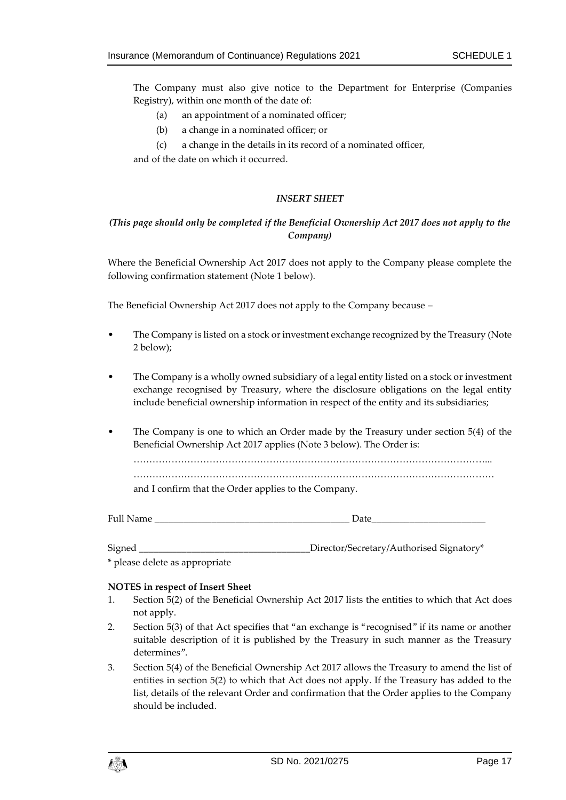The Company must also give notice to the Department for Enterprise (Companies Registry), within one month of the date of:

- (a) an appointment of a nominated officer;
- (b) a change in a nominated officer; or
- (c) a change in the details in its record of a nominated officer,

and of the date on which it occurred.

#### *INSERT SHEET*

#### *(This page should only be completed if the Beneficial Ownership Act 2017 does not apply to the Company)*

Where the Beneficial Ownership Act 2017 does not apply to the Company please complete the following confirmation statement (Note 1 below).

The Beneficial Ownership Act 2017 does not apply to the Company because –

- The Company is listed on a stock or investment exchange recognized by the Treasury (Note 2 below);
- The Company is a wholly owned subsidiary of a legal entity listed on a stock or investment exchange recognised by Treasury, where the disclosure obligations on the legal entity include beneficial ownership information in respect of the entity and its subsidiaries;
- The Company is one to which an Order made by the Treasury under section 5(4) of the Beneficial Ownership Act 2017 applies (Note 3 below). The Order is:

…………………………………………………………………………………………………...

……………………………………………………………………………………………………

and I confirm that the Order applies to the Company.

| <b>Full Name</b> |  |
|------------------|--|
|                  |  |

Signed \_\_\_\_\_\_\_\_\_\_\_\_\_\_\_\_\_\_\_\_\_\_\_\_\_\_\_\_\_\_\_\_\_\_\_\_Director/Secretary/Authorised Signatory\*

\* please delete as appropriate

#### **NOTES in respect of Insert Sheet**

- 1. Section 5(2) of the Beneficial Ownership Act 2017 lists the entities to which that Act does not apply.
- 2. Section 5(3) of that Act specifies that "an exchange is "recognised" if its name or another suitable description of it is published by the Treasury in such manner as the Treasury determines".
- 3. Section 5(4) of the Beneficial Ownership Act 2017 allows the Treasury to amend the list of entities in section 5(2) to which that Act does not apply. If the Treasury has added to the list, details of the relevant Order and confirmation that the Order applies to the Company should be included.

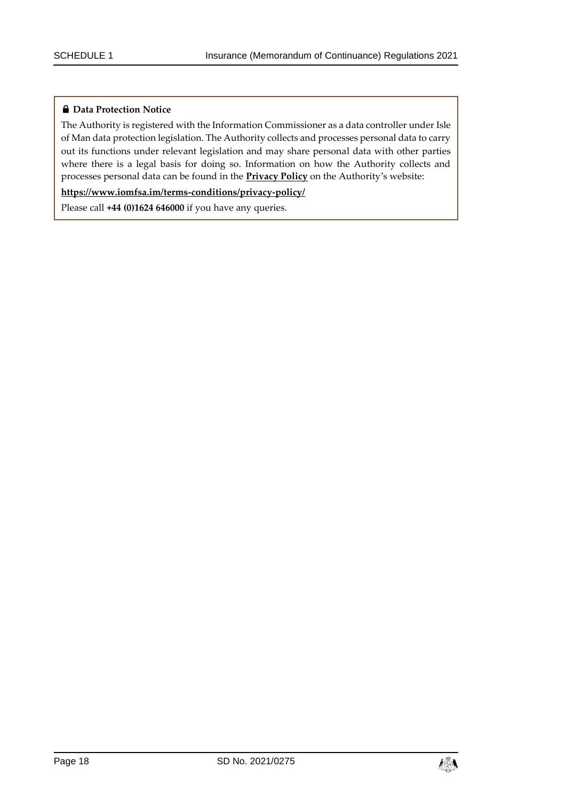### **Data Protection Notice**

The Authority is registered with the Information Commissioner as a data controller under Isle of Man data protection legislation. The Authority collects and processes personal data to carry out its functions under relevant legislation and may share personal data with other parties where there is a legal basis for doing so. Information on how the Authority collects and processes personal data can be found in the **[Privacy Policy](https://www.iomfsa.im/terms-conditions/privacy-policy/)** on the Authority's website:

**<https://www.iomfsa.im/terms-conditions/privacy-policy/>**

Please call **+44 (0)1624 646000** if you have any queries.

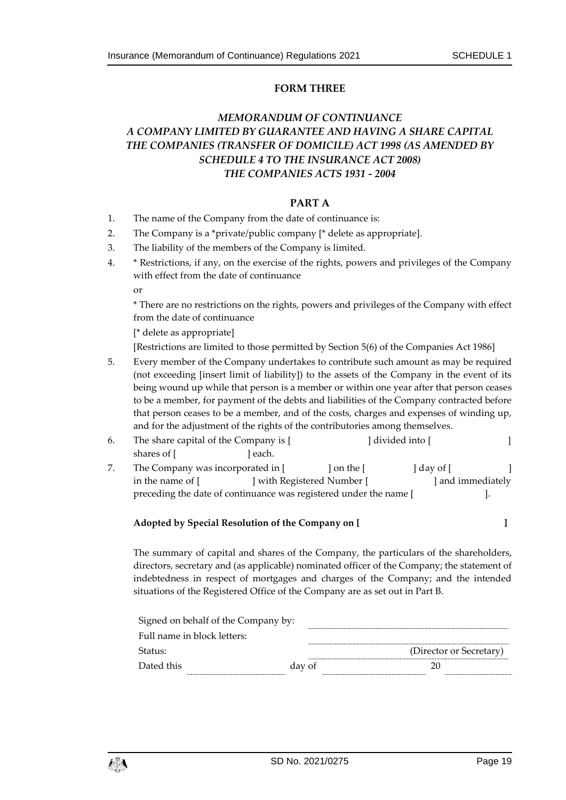### **FORM THREE**

# *MEMORANDUM OF CONTINUANCE A COMPANY LIMITED BY GUARANTEE AND HAVING A SHARE CAPITAL THE COMPANIES (TRANSFER OF DOMICILE) ACT 1998 (AS AMENDED BY SCHEDULE 4 TO THE INSURANCE ACT 2008) THE COMPANIES ACTS 1931 - 2004*

#### **PART A**

- 1. The name of the Company from the date of continuance is:
- 2. The Company is a \*private/public company [\* delete as appropriate].
- 3. The liability of the members of the Company is limited.
- 4. \* Restrictions, if any, on the exercise of the rights, powers and privileges of the Company with effect from the date of continuance

or

\* There are no restrictions on the rights, powers and privileges of the Company with effect from the date of continuance

[\* delete as appropriate]

[Restrictions are limited to those permitted by Section 5(6) of the Companies Act 1986]

- 5. Every member of the Company undertakes to contribute such amount as may be required (not exceeding [insert limit of liability]) to the assets of the Company in the event of its being wound up while that person is a member or within one year after that person ceases to be a member, for payment of the debts and liabilities of the Company contracted before that person ceases to be a member, and of the costs, charges and expenses of winding up, and for the adjustment of the rights of the contributories among themselves.
- 6. The share capital of the Company is [ ] divided into [ ] ] shares of [ ] each.
- 7. The Company was incorporated in  $\begin{bmatrix} 1 & 1 \end{bmatrix}$  on the  $\begin{bmatrix} 1 & 1 \end{bmatrix}$ in the name of [ ] with Registered Number [ ] and immediately preceding the date of continuance was registered under the name [ ].

#### **Adopted by Special Resolution of the Company on [ ]**

The summary of capital and shares of the Company, the particulars of the shareholders, directors, secretary and (as applicable) nominated officer of the Company; the statement of indebtedness in respect of mortgages and charges of the Company; and the intended situations of the Registered Office of the Company are as set out in Part B.

| Signed on behalf of the Company by: |        |                         |
|-------------------------------------|--------|-------------------------|
| Full name in block letters:         |        |                         |
| Status:                             |        | (Director or Secretary) |
| Dated this                          | day of |                         |

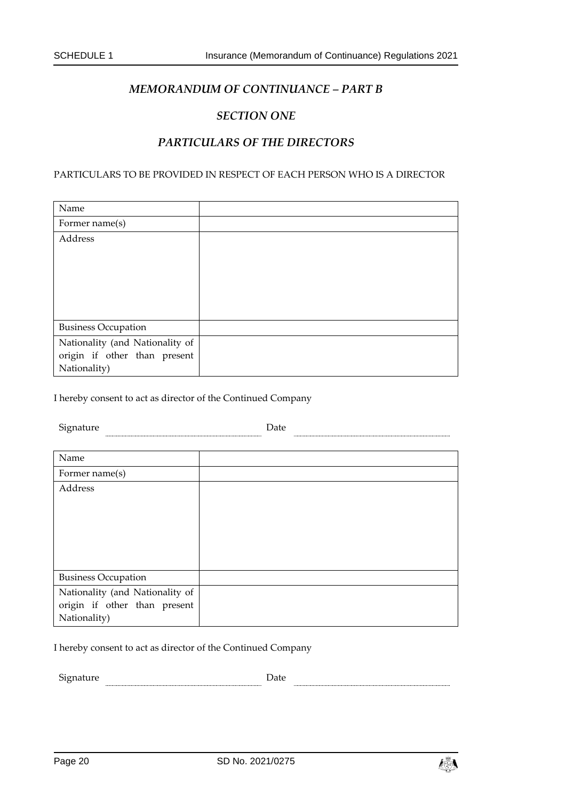### *MEMORANDUM OF CONTINUANCE – PART B*

### *SECTION ONE*

### *PARTICULARS OF THE DIRECTORS*

PARTICULARS TO BE PROVIDED IN RESPECT OF EACH PERSON WHO IS A DIRECTOR

| Name                            |  |
|---------------------------------|--|
| Former name(s)                  |  |
| Address                         |  |
|                                 |  |
|                                 |  |
|                                 |  |
|                                 |  |
|                                 |  |
| <b>Business Occupation</b>      |  |
| Nationality (and Nationality of |  |
| origin if other than present    |  |
| Nationality)                    |  |

I hereby consent to act as director of the Continued Company

| Signature                       | Date |
|---------------------------------|------|
|                                 |      |
| Name                            |      |
| Former name(s)                  |      |
| Address                         |      |
|                                 |      |
|                                 |      |
|                                 |      |
|                                 |      |
|                                 |      |
| <b>Business Occupation</b>      |      |
| Nationality (and Nationality of |      |
| origin if other than present    |      |
| Nationality)                    |      |

I hereby consent to act as director of the Continued Company

Signature Date

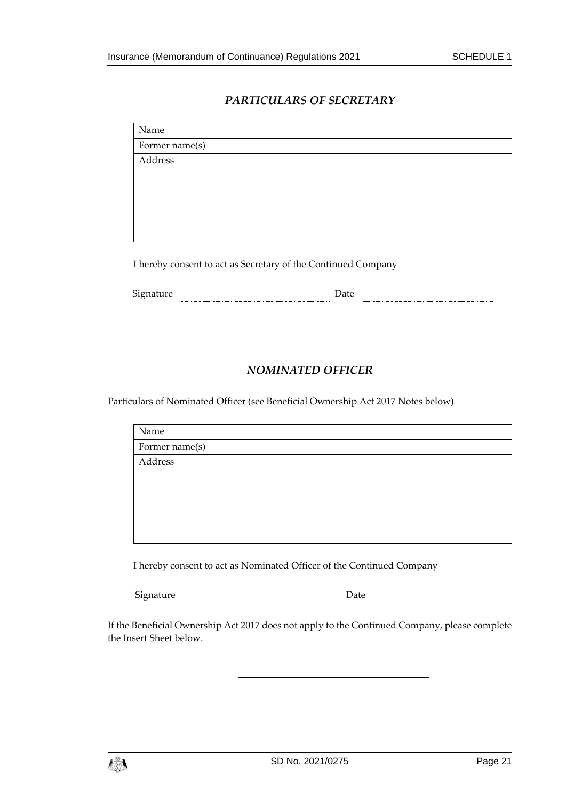# *PARTICULARS OF SECRETARY*

| Name           |  |
|----------------|--|
| Former name(s) |  |
| Address        |  |
|                |  |

I hereby consent to act as Secretary of the Continued Company

 ${\small \textbf{Square}} \hspace{2em} {\small \textbf{Date}}$ 

# *NOMINATED OFFICER*

Particulars of Nominated Officer (see Beneficial Ownership Act 2017 Notes below)

| Name           |  |
|----------------|--|
| Former name(s) |  |
| Address        |  |
|                |  |

I hereby consent to act as Nominated Officer of the Continued Company

| r.<br>Signat<br>. Taturt. |  |
|---------------------------|--|
|                           |  |

If the Beneficial Ownership Act 2017 does not apply to the Continued Company, please complete the Insert Sheet below.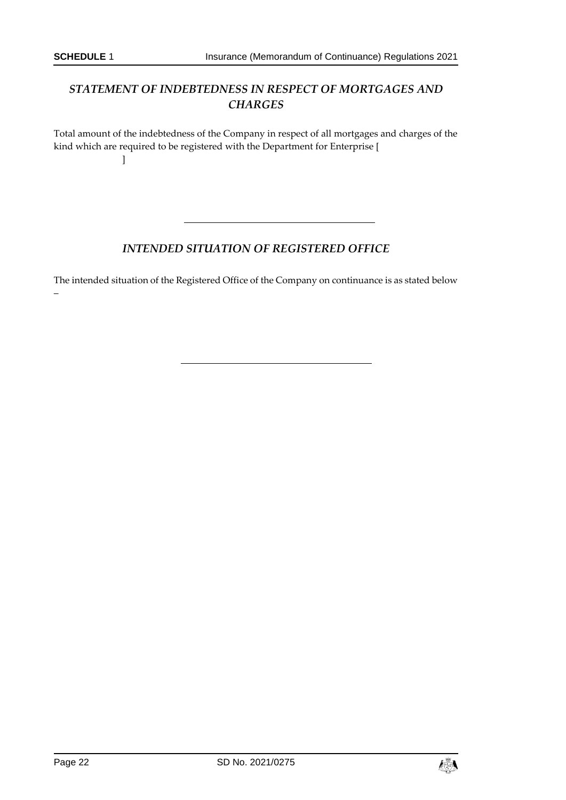# *STATEMENT OF INDEBTEDNESS IN RESPECT OF MORTGAGES AND CHARGES*

Total amount of the indebtedness of the Company in respect of all mortgages and charges of the kind which are required to be registered with the Department for Enterprise [ ]

# *INTENDED SITUATION OF REGISTERED OFFICE*

The intended situation of the Registered Office of the Company on continuance is as stated below –

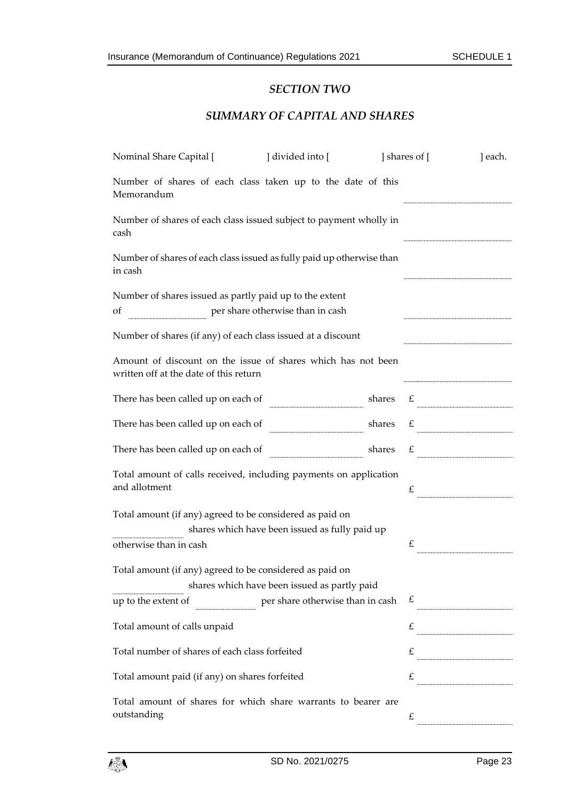# *SECTION TWO*

### *SUMMARY OF CAPITAL AND SHARES*

| Nominal Share Capital [                                                                                | ] divided into [                                                   |        | ] shares of [ | ] each.      |
|--------------------------------------------------------------------------------------------------------|--------------------------------------------------------------------|--------|---------------|--------------|
| Memorandum                                                                                             | Number of shares of each class taken up to the date of this        |        |               |              |
| cash                                                                                                   | Number of shares of each class issued subject to payment wholly in |        |               |              |
| Number of shares of each class issued as fully paid up otherwise than<br>in cash                       |                                                                    |        |               |              |
| Number of shares issued as partly paid up to the extent<br>of                                          | per share otherwise than in cash                                   |        |               |              |
|                                                                                                        | Number of shares (if any) of each class issued at a discount       |        |               |              |
| Amount of discount on the issue of shares which has not been<br>written off at the date of this return |                                                                    |        |               |              |
| There has been called up on each of                                                                    |                                                                    | shares | £             |              |
| There has been called up on each of                                                                    |                                                                    | shares |               | $\mathbf{f}$ |
| There has been called up on each of                                                                    |                                                                    | shares | £             |              |
| and allotment                                                                                          | Total amount of calls received, including payments on application  |        | £             |              |
| Total amount (if any) agreed to be considered as paid on                                               | shares which have been issued as fully paid up                     |        |               |              |
| otherwise than in cash                                                                                 |                                                                    |        | £             |              |
| Total amount (if any) agreed to be considered as paid on                                               | shares which have been issued as partly paid                       |        |               |              |
| up to the extent of                                                                                    | per share otherwise than in cash                                   |        | £             |              |
| Total amount of calls unpaid                                                                           |                                                                    |        | £             |              |
| Total number of shares of each class forfeited                                                         |                                                                    |        | £             |              |
| Total amount paid (if any) on shares forfeited                                                         |                                                                    |        | £             |              |
| outstanding                                                                                            | Total amount of shares for which share warrants to bearer are      |        | £             |              |

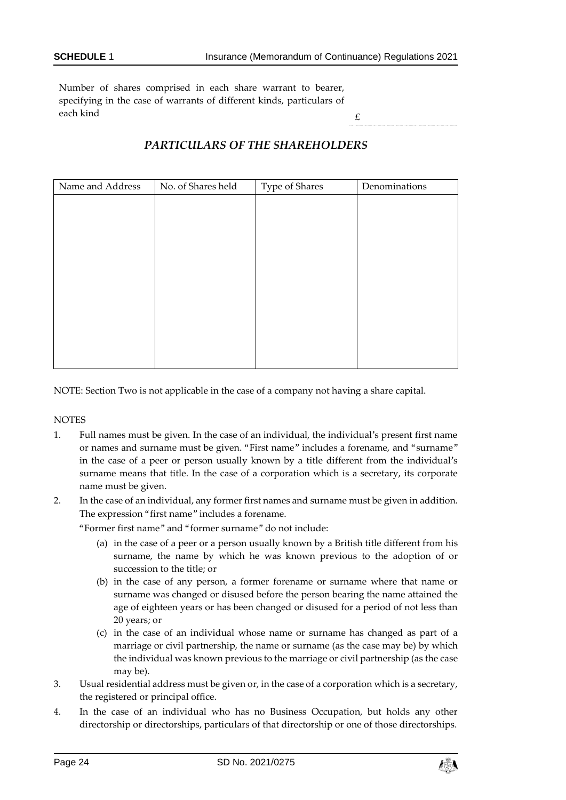Number of shares comprised in each share warrant to bearer, specifying in the case of warrants of different kinds, particulars of each kind  $\epsilon$ 

# *PARTICULARS OF THE SHAREHOLDERS*

| Name and Address | No. of Shares held | Type of Shares | Denominations |
|------------------|--------------------|----------------|---------------|
|                  |                    |                |               |
|                  |                    |                |               |
|                  |                    |                |               |
|                  |                    |                |               |
|                  |                    |                |               |
|                  |                    |                |               |
|                  |                    |                |               |
|                  |                    |                |               |
|                  |                    |                |               |
|                  |                    |                |               |
|                  |                    |                |               |

NOTE: Section Two is not applicable in the case of a company not having a share capital.

**NOTES** 

- 1. Full names must be given. In the case of an individual, the individual's present first name or names and surname must be given. "First name" includes a forename, and "surname" in the case of a peer or person usually known by a title different from the individual's surname means that title. In the case of a corporation which is a secretary, its corporate name must be given.
- 2. In the case of an individual, any former first names and surname must be given in addition. The expression "first name" includes a forename.

"Former first name" and "former surname" do not include:

- (a) in the case of a peer or a person usually known by a British title different from his surname, the name by which he was known previous to the adoption of or succession to the title; or
- (b) in the case of any person, a former forename or surname where that name or surname was changed or disused before the person bearing the name attained the age of eighteen years or has been changed or disused for a period of not less than 20 years; or
- (c) in the case of an individual whose name or surname has changed as part of a marriage or civil partnership, the name or surname (as the case may be) by which the individual was known previous to the marriage or civil partnership (as the case may be).
- 3. Usual residential address must be given or, in the case of a corporation which is a secretary, the registered or principal office.
- 4. In the case of an individual who has no Business Occupation, but holds any other directorship or directorships, particulars of that directorship or one of those directorships.

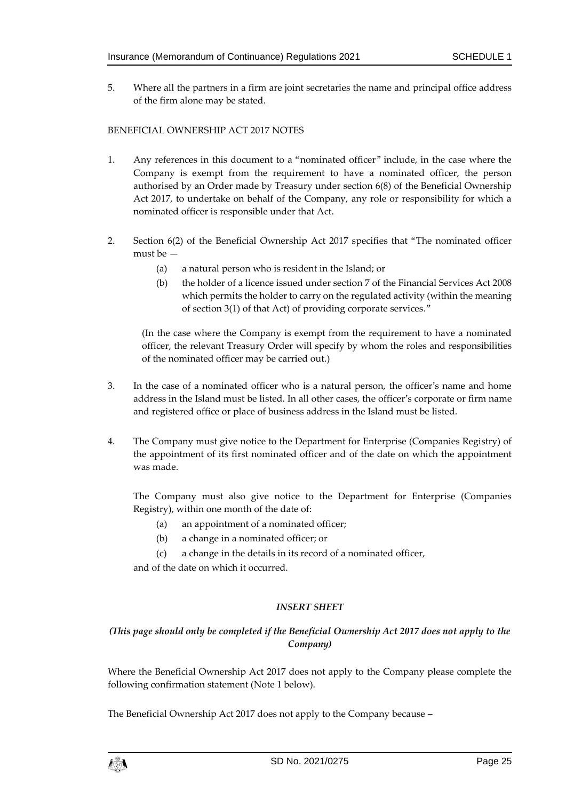5. Where all the partners in a firm are joint secretaries the name and principal office address of the firm alone may be stated.

#### BENEFICIAL OWNERSHIP ACT 2017 NOTES

- 1. Any references in this document to a "nominated officer" include, in the case where the Company is exempt from the requirement to have a nominated officer, the person authorised by an Order made by Treasury under section 6(8) of the Beneficial Ownership Act 2017, to undertake on behalf of the Company, any role or responsibility for which a nominated officer is responsible under that Act.
- 2. Section 6(2) of the Beneficial Ownership Act 2017 specifies that "The nominated officer must be —
	- (a) a natural person who is resident in the Island; or
	- (b) the holder of a licence issued under section 7 of the Financial Services Act 2008 which permits the holder to carry on the regulated activity (within the meaning of section 3(1) of that Act) of providing corporate services."

(In the case where the Company is exempt from the requirement to have a nominated officer, the relevant Treasury Order will specify by whom the roles and responsibilities of the nominated officer may be carried out.)

- 3. In the case of a nominated officer who is a natural person, the officer's name and home address in the Island must be listed. In all other cases, the officer's corporate or firm name and registered office or place of business address in the Island must be listed.
- 4. The Company must give notice to the Department for Enterprise (Companies Registry) of the appointment of its first nominated officer and of the date on which the appointment was made.

The Company must also give notice to the Department for Enterprise (Companies Registry), within one month of the date of:

- (a) an appointment of a nominated officer;
- (b) a change in a nominated officer; or
- (c) a change in the details in its record of a nominated officer,

and of the date on which it occurred.

### *INSERT SHEET*

### *(This page should only be completed if the Beneficial Ownership Act 2017 does not apply to the Company)*

Where the Beneficial Ownership Act 2017 does not apply to the Company please complete the following confirmation statement (Note 1 below).

The Beneficial Ownership Act 2017 does not apply to the Company because –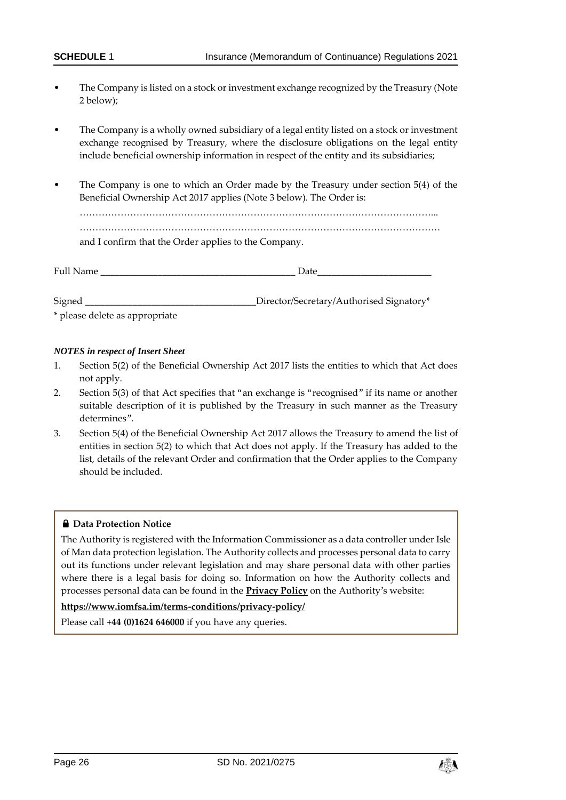- The Company is listed on a stock or investment exchange recognized by the Treasury (Note 2 below);
- The Company is a wholly owned subsidiary of a legal entity listed on a stock or investment exchange recognised by Treasury, where the disclosure obligations on the legal entity include beneficial ownership information in respect of the entity and its subsidiaries;
- The Company is one to which an Order made by the Treasury under section 5(4) of the Beneficial Ownership Act 2017 applies (Note 3 below). The Order is:

…………………………………………………………………………………………………... …………………………………………………………………………………………………… and I confirm that the Order applies to the Company.

| Full Name | Date                                     |  |  |
|-----------|------------------------------------------|--|--|
|           |                                          |  |  |
| Signed    | Director/Secretary/Authorised Signatory* |  |  |

\* please delete as appropriate

#### *NOTES in respect of Insert Sheet*

- 1. Section 5(2) of the Beneficial Ownership Act 2017 lists the entities to which that Act does not apply.
- 2. Section 5(3) of that Act specifies that "an exchange is "recognised" if its name or another suitable description of it is published by the Treasury in such manner as the Treasury determines".
- 3. Section 5(4) of the Beneficial Ownership Act 2017 allows the Treasury to amend the list of entities in section 5(2) to which that Act does not apply. If the Treasury has added to the list, details of the relevant Order and confirmation that the Order applies to the Company should be included.

#### $\bigoplus$  Data Protection Notice

The Authority is registered with the Information Commissioner as a data controller under Isle of Man data protection legislation. The Authority collects and processes personal data to carry out its functions under relevant legislation and may share personal data with other parties where there is a legal basis for doing so. Information on how the Authority collects and processes personal data can be found in the **[Privacy Policy](https://www.iomfsa.im/terms-conditions/privacy-policy/)** on the Authority's website:

### **<https://www.iomfsa.im/terms-conditions/privacy-policy/>**

Please call **+44 (0)1624 646000** if you have any queries.